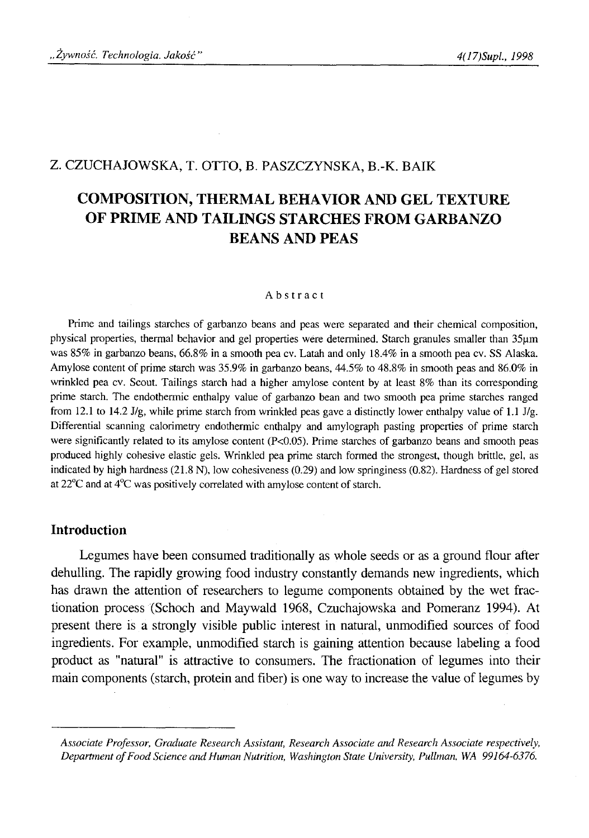## Z. CZUCHAJOWSKA, T. OTTO, B. PASZCZYNSKA, B.-K. BAIK

# **COMPOSITION, THERMAL BEHAVIOR AND GEL TEXTURE OF PRIME AND TAILINGS STARCHES FROM GARBANZO BEANS AND PEAS**

#### Abstract

Prime and tailings starches of garbanzo beans and peas were separated and their chemical composition, physical properties, thermal behavior and gel properties were determined. Starch granules smaller than 35µm was 85% in garbanzo beans, 66.8% in a smooth pea cv. Latah and only 18.4% in a smooth pea cv. SS Alaska. Amylose content of prime starch was 35.9% in garbanzo beans, 44.5% to 48.8% in smooth peas and 86.0% in wrinkled pea cv. Scout. Tailings starch had a higher amylose content by at least 8% than its corresponding prime starch. The endothermic enthalpy value of garbanzo bean and two smooth pea prime starches ranged from 12.1 to 14.2 J/g, while prime starch from wrinkled peas gave a distinctly lower enthalpy value of 1.1 J/g. Differential scanning calorimetry endothermic enthalpy and amylograph pasting properties of prime starch were significantly related to its amylose content  $(P<0.05)$ . Prime starches of garbanzo beans and smooth peas produced highly cohesive elastic gels. Wrinkled pea prime starch formed the strongest, though brittle, gel, as indicated by high hardness (21.8 N), low cohesiveness (0.29) and low springiness (0.82). Hardness of gel stored at 22°C and at 4°C was positively correlated with amylose content of starch.

#### **Introduction**

Legumes have been consumed traditionally as whole seeds or as a ground flour after dehulling. The rapidly growing food industry constantly demands new ingredients, which has drawn the attention of researchers to legume components obtained by the wet fractionation process (Schoch and Maywald 1968, Czuchajowska and Pomeranz 1994). At present there is a strongly visible public interest in natural, unmodified sources of food ingredients. For example, unmodified starch is gaining attention because labeling a food product as "natural" is attractive to consumers. The fractionation of legumes into their main components (starch, protein and fiber) is one way to increase the value of legumes by

*Associate Professor, Graduate Research Assistant, Research Associate and Research Associate respectively,* Department of Food Science and Human Nutrition, Washington State University, Pullman, WA 99164-6376.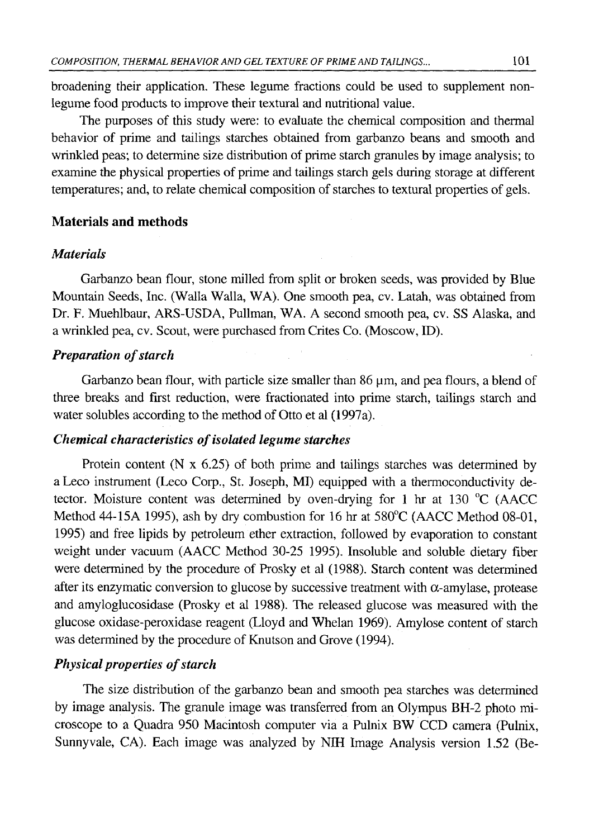broadening their application. These legume fractions could be used to supplement nonlegume food products to improve their textural and nutritional value.

The purposes of this study were: to evaluate the chemical composition and thermal behavior of prime and tailings starches obtained from garbanzo beans and smooth and wrinkled peas; to determine size distribution of prime starch granules by image analysis; to examine the physical properties of prime and tailings starch gels during storage at different temperatures; and, to relate chemical composition of starches to textural properties of gels.

#### **Materials and methods**

#### *Materials*

Garbanzo bean flour, stone milled from split or broken seeds, was provided by Blue Mountain Seeds, Inc. (Walla Walla, WA). One smooth pea, cv. Latah, was obtained from Dr. F. Muehlbaur, ARS-USDA, Pullman, WA. A second smooth pea, cv. SS Alaska, and a wrinkled pea, cv. Scout, were purchased from Crites Co. (Moscow, ID).

## *Preparation of starch*

Garbanzo bean flour, with particle size smaller than  $86 \mu m$ , and pea flours, a blend of three breaks and first reduction, were fractionated into prime starch, tailings starch and water solubles according to the method of Otto et al (1997a).

#### *Chemical characteristics of isolated legume starches*

Protein content (N  $\times$  6.25) of both prime and tailings starches was determined by aLeco instrument (Leco Corp., St. Joseph, MI) equipped with a thermoconductivity detector. Moisture content was determined by oven-drying for 1 hr at 130 °C (AACC Method 44-15A 1995), ash by dry combustion for 16 hr at 580°C (AACC Method 08-01, 1995) and free lipids by petroleum ether extraction, followed by evaporation to constant weight under vacuum (AACC Method 30-25 1995). Insoluble and soluble dietary fiber were determined by the procedure of Prosky et al (1988). Starch content was determined after its enzymatic conversion to glucose by successive treatment with  $\alpha$ -amylase, protease and amyloglucosidase (Prosky et al 1988). The released glucose was measured with the glucose oxidase-peroxidase reagent (Lloyd and Whelan 1969). Amylose content of starch was determined by the procedure of Knutson and Grove (1994).

# *Physical properties of starch*

The size distribution of the garbanzo bean and smooth pea starches was determined by image analysis. The granule image was transferred from an Olympus BH-2 photo microscope to a Quadra 950 Macintosh computer via a Pulnix BW CCD camera (Pulnix, Sunnyvale, CA). Each image was analyzed by NIH Image Analysis version 1.52 (Be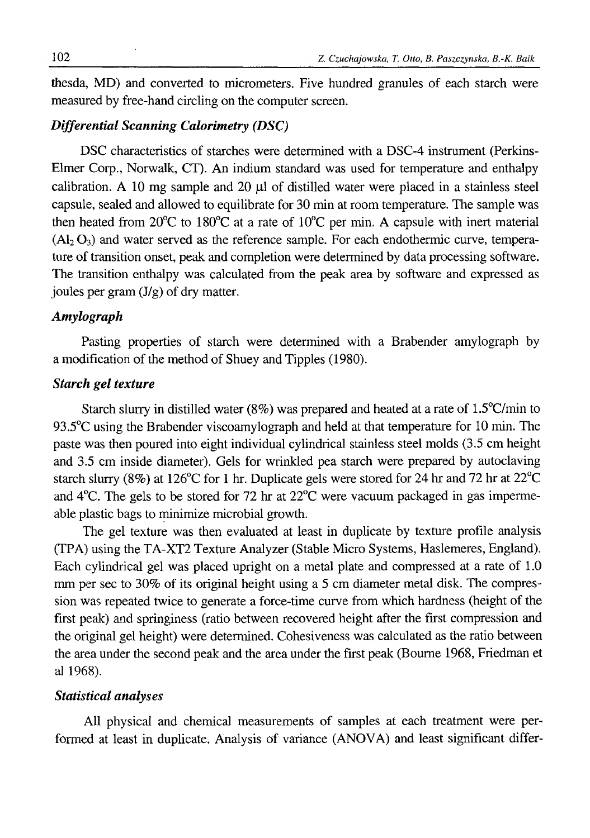thesda, MD) and converted to micrometers. Five hundred granules of each starch were measured by free-hand circling on the computer screen.

# *Differential Scanning Calorimetry (DSC)*

DSC characteristics of starches were determined with a DSC-4 instrument (Perkins-Elmer Corp., Norwalk, CT). An indium standard was used for temperature and enthalpy calibration. A 10 mg sample and 20 μΐ of distilled water were placed in a stainless steel capsule, sealed and allowed to equilibrate for 30 min at room temperature. The sample was then heated from 20 $^{\circ}$ C to 180 $^{\circ}$ C at a rate of 10 $^{\circ}$ C per min. A capsule with inert material  $(A<sub>2</sub> O<sub>3</sub>)$  and water served as the reference sample. For each endothermic curve, temperature of transition onset, peak and completion were determined by data processing software. The transition enthalpy was calculated from the peak area by software and expressed as joules per gram (J/g) of dry matter.

#### *Amylograph*

Pasting properties of starch were determined with a Brabender amylograph by a modification of the method of Shuey and Tipples (1980).

#### *Starch gel texture*

Starch slurry in distilled water (8%) was prepared and heated at a rate of  $1.5^{\circ}$ C/min to 93.5°C using the Brabender viscoamylograph and held at that temperature for 10 min. The paste was then poured into eight individual cylindrical stainless steel molds (3.5 cm height and 3.5 cm inside diameter). Gels for wrinkled pea starch were prepared by autoclaving starch slurry (8%) at 126°C for 1 hr. Duplicate gels were stored for 24 hr and 72 hr at  $22^{\circ}$ C and 4°C. The gels to be stored for 72 hr at 22°C were vacuum packaged in gas impermeable plastic bags to minimize microbial growth.

The gel texture was then evaluated at least in duplicate by texture profile analysis (TPA) using the TA-XT2 Texture Analyzer (Stable Micro Systems, Haslemeres, England). Each cylindrical gel was placed upright on a metal plate and compressed at a rate of 1.0 mm per sec to 30% of its original height using a 5 cm diameter metal disk. The compression was repeated twice to generate a force-time curve from which hardness (height of the first peak) and springiness (ratio between recovered height after the first compression and the original gel height) were determined. Cohesiveness was calculated as the ratio between the area under the second peak and the area under the first peak (Bourne 1968, Friedman et al 1968).

#### *Statistical analyses*

All physical and chemical measurements of samples at each treatment were performed at least in duplicate. Analysis of variance (ANOVA) and least significant differ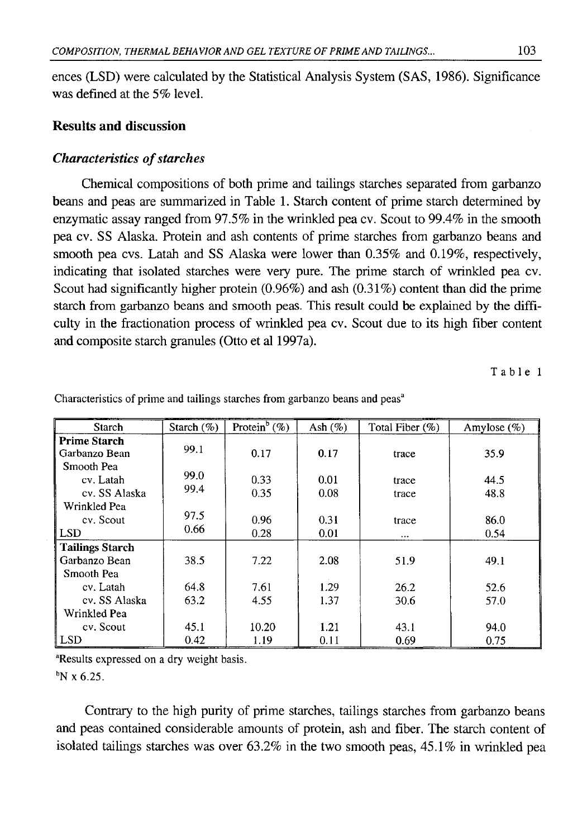ences (LSD) were calculated by the Statistical Analysis System (SAS, 1986). Significance was defined at the 5% level.

#### **Results and discussion**

#### *Characteristics of starches*

Chemical compositions of both prime and tailings starches separated from garbanzo beans and peas are summarized in Table 1. Starch content of prime starch determined by enzymatic assay ranged from 97.5% in the wrinkled pea cv. Scout to 99.4% in the smooth pea cv. SS Alaska. Protein and ash contents of prime starches from garbanzo beans and smooth pea cvs. Latah and SS Alaska were lower than 0.35% and 0.19%, respectively, indicating that isolated starches were very pure. The prime starch of wrinkled pea cv. Scout had significantly higher protein (0.96%) and ash (0.31%) content than did the prime starch from garbanzo beans and smooth peas. This result could be explained by the difficulty in the fractionation process of wrinkled pea cv. Scout due to its high fiber content and composite starch granules (Otto et al 1997a).

Table 1

| Starch                  | Starch $(\%)$ | Protein <sup>b</sup> (%) | Ash $(\%)$ | Total Fiber (%) | Amylose $(\%)$ |
|-------------------------|---------------|--------------------------|------------|-----------------|----------------|
| <b>Prime Starch</b>     | 99.1          |                          |            |                 |                |
| Garbanzo Bean           |               | 0.17                     | 0.17       | trace           | 35.9           |
| Smooth Pea<br>cv. Latah | 99.0          | 0.33                     | 0.01       |                 | 44.5           |
| cv. SS Alaska           | 99.4          | 0.35                     | 0.08       | trace<br>trace  | 48.8           |
| Wrinkled Pea            |               |                          |            |                 |                |
| cv. Scout               | 97.5          | 0.96                     | 0.31       | trace           | 86.0           |
| LSD                     | 0.66          | 0.28                     | 0.01       |                 | 0.54           |
| <b>Tailings Starch</b>  |               |                          |            |                 |                |
| Garbanzo Bean           | 38.5          | 7.22                     | 2.08       | 51.9            | 49.1           |
| Smooth Pea              |               |                          |            |                 |                |
| cv. Latah               | 64.8          | 7.61                     | 1.29       | 26.2            | 52.6           |
| cv. SS Alaska           | 63.2          | 4.55                     | 1.37       | 30.6            | 57.0           |
| Wrinkled Pea            |               |                          |            |                 |                |
| cv. Scout               | 45.1          | 10.20                    | 1.21       | 43.1            | 94.0           |
| <b>LSD</b>              | 0.42          | 1.19                     | 0.11       | 0.69            | 0.75           |

Characteristics of prime and tailings starches from garbanzo beans and peas<sup>a</sup>

<sup>a</sup>Results expressed on a dry weight basis.

 $N \times 6.25$ .

Contrary to the high purity of prime starches, tailings starches from garbanzo beans and peas contained considerable amounts of protein, ash and fiber. The starch content of isolated tailings starches was over 63.2% in the two smooth peas, 45.1% in wrinkled pea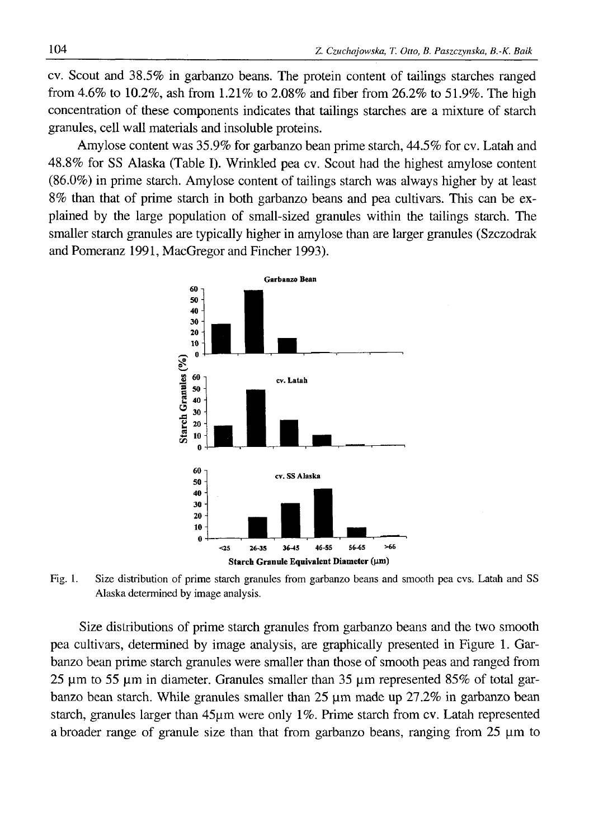cv. Scout and 38.5% in garbanzo beans. The protein content of tailings starches ranged from 4.6% to 10.2%, ash from 1.21% to 2.08% and fiber from 26.2% to 51.9%. The high concentration of these components indicates that tailings starches are a mixture of starch granules, cell wall materials and insoluble proteins.

Amylose content was 35.9% for garbanzo bean prime starch, 44.5% for cv. Latah and 48.8% for SS Alaska (Table I). Wrinkled pea cv. Scout had the highest amylose content (86.0%) in prime starch. Amylose content of tailings starch was always higher by at least 8% than that of prime starch in both garbanzo beans and pea cultivars. This can be explained by the large population of small-sized granules within the tailings starch. The smaller starch granules are typically higher in amylose than are larger granules (Szczodrak and Pomeranz 1991, MacGregor and Fincher 1993).



Fig. 1. Size distribution of prime starch granules from garbanzo beans and smooth pea cvs. Latah and SS Alaska determined by image analysis.

Size distributions of prime starch granules from garbanzo beans and the two smooth pea cultivars, determined by image analysis, are graphically presented in Figure 1. Garbanzo bean prime starch granules were smaller than those of smooth peas and ranged from 25 μιη to 55 μπι in diameter. Granules smaller than 35 μιη represented 85% of total garbanzo bean starch. While granules smaller than  $25 \mu m$  made up  $27.2\%$  in garbanzo bean starch, granules larger than 45μιη were only 1%. Prime starch from cv. Latah represented a broader range of granule size than that from garbanzo beans, ranging from 25 μπι to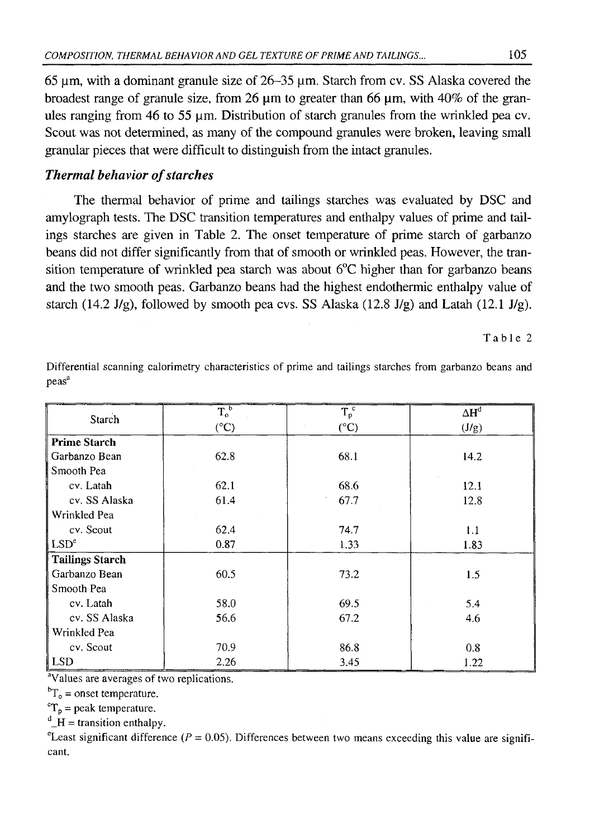65  $\mu$ m, with a dominant granule size of 26–35  $\mu$ m. Starch from cv. SS Alaska covered the broadest range of granule size, from 26  $\mu$ m to greater than 66  $\mu$ m, with 40% of the granules ranging from 46 to 55 µm. Distribution of starch granules from the wrinkled pea cv. Scout was not determined, as many of the compound granules were broken, leaving small granular pieces that were difficult to distinguish from the intact granules.

# *Thermal behavior of starches*

The thermal behavior of prime and tailings starches was evaluated by DSC and amylograph tests. The DSC transition temperatures and enthalpy values of prime and tailings starches are given in Table 2. The onset temperature of prime starch of garbanzo beans did not differ significantly from that of smooth or wrinkled peas. However, the transition temperature of wrinkled pea starch was about  $6^{\circ}$ C higher than for garbanzo beans and the two smooth peas. Garbanzo beans had the highest endothermic enthalpy value of starch (14.2 J/g), followed by smooth pea cvs. SS Alaska (12.8 J/g) and Latah (12.1 J/g).

Table 2

| Starch                 | $T_o^b$       | $\overline{T_p}^c$ | $\Delta H^d$ |  |
|------------------------|---------------|--------------------|--------------|--|
|                        | $(^{\circ}C)$ | $(^{\circ}C)$      | (J/g)        |  |
| <b>Prime Starch</b>    |               |                    |              |  |
| Garbanzo Bean          | 62.8          | 68.1               | 14.2         |  |
| Smooth Pea             |               |                    |              |  |
| cv. Latah              | 62.1          | 68.6               | 12.1         |  |
| cv. SS Alaska          | 61.4          | 67.7               | 12.8         |  |
| Wrinkled Pea           |               |                    |              |  |
| cv. Scout              | 62.4          | 74.7               | 1.1          |  |
| LSD <sup>e</sup>       | 0.87          | 1.33               | 1.83         |  |
| <b>Tailings Starch</b> |               |                    |              |  |
| Garbanzo Bean          | 60.5          | 73.2               | 1.5          |  |
| Smooth Pea             |               |                    |              |  |
| cv. Latah              | 58.0          | 69.5               | 5.4          |  |
| cv. SS Alaska          | 56.6          | 67.2               | 4.6          |  |
| Wrinkled Pea           |               |                    |              |  |
| cv. Scout              | 70.9          | 86.8               | 0.8          |  |
| LSD                    | 2.26          | 3.45               | 1.22         |  |

Differential scanning calorimetry characteristics of prime and tailings starches from garbanzo beans and peas<sup>a</sup>

<sup>a</sup>Values are averages of two replications.

 ${}^{b}T_{o}$  = onset temperature.

 ${}^{\circ}T_{p}$  = peak temperature.

 $\mathrm{d}_{\mathrm{d}}$  H = transition enthalpy.

<sup>e</sup>Least significant difference ( $P = 0.05$ ). Differences between two means exceeding this value are significant.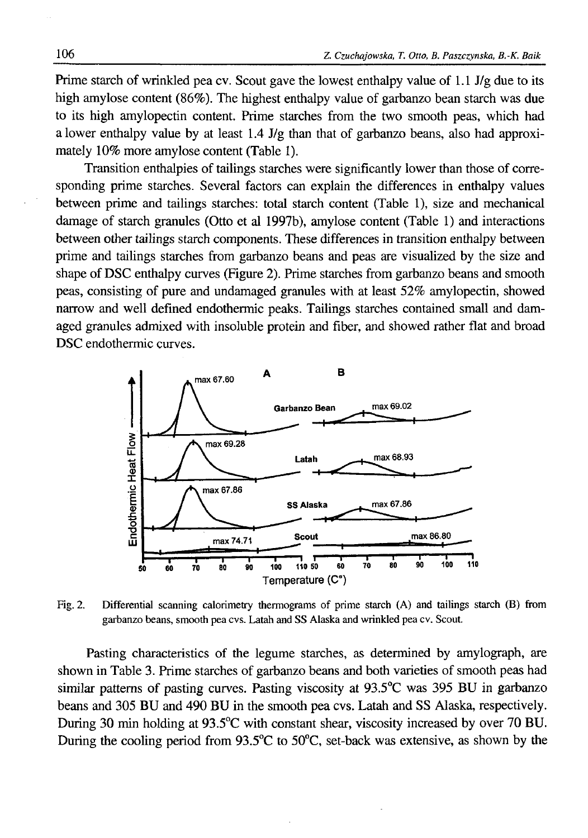Prime starch of wrinkled pea cv. Scout gave the lowest enthalpy value of 1.1 J/g due to its high amylose content (86%). The highest enthalpy value of garbanzo bean starch was due to its high amylopectin content. Prime starches from the two smooth peas, which had a lower enthalpy value by at least  $1.4$  J/g than that of garbanzo beans, also had approximately 10% more amylose content (Table 1).

Transition enthalpies of tailings starches were significantly lower than those of corresponding prime starches. Several factors can explain the differences in enthalpy values between prime and tailings starches: total starch content (Table 1), size and mechanical damage of starch granules (Otto et al 1997b), amylose content (Table 1) and interactions between other tailings starch components. These differences in transition enthalpy between prime and tailings starches from garbanzo beans and peas are visualized by the size and shape of DSC enthalpy curves (Figure 2). Prime starches from garbanzo beans and smooth peas, consisting of pure and undamaged granules with at least 52% amylopectin, showed narrow and well defined endothermic peaks. Tailings starches contained small and damaged granules admixed with insoluble protein and fiber, and showed rather flat and broad DSC endothermic curves.



Fig. 2. Differential scanning calorimetry thermograms of prime starch (A) and tailings starch (B) from garbanzo beans, smooth pea cvs. Latah and SS Alaska and wrinkled pea cv. Scout.

Pasting characteristics of the legume starches, as determined by amylograph, are shown in Table 3. Prime starches of garbanzo beans and both varieties of smooth peas had similar patterns of pasting curves. Pasting viscosity at 93.5°C was 395 BU in garbanzo beans and 305 BU and 490 BU in the smooth pea cvs. Latah and SS Alaska, respectively. During 30 min holding at 93.5°C with constant shear, viscosity increased by over 70 BU. During the cooling period from 93.5°C to 50°C, set-back was extensive, as shown by the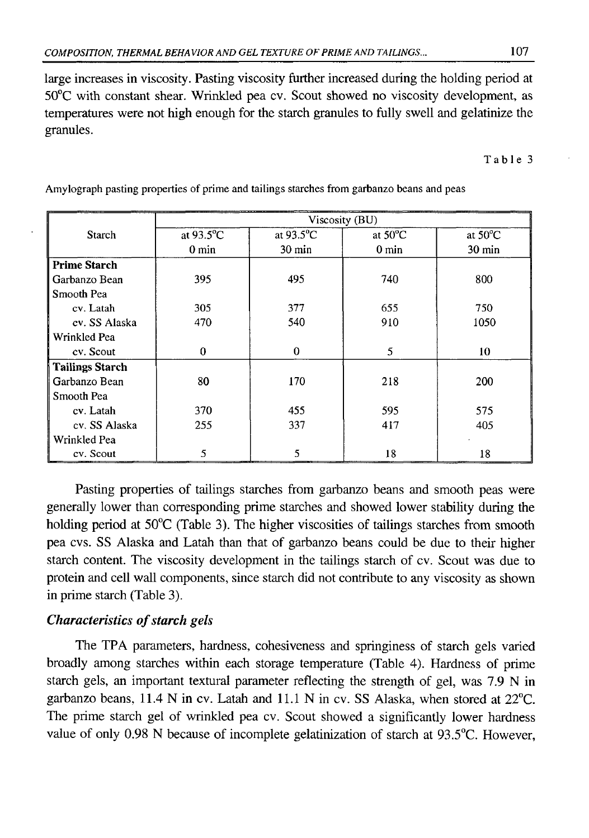large increases in viscosity. Pasting viscosity further increased during the holding period at 50°C with constant shear. Wrinkled pea cv. Scout showed no viscosity development, as temperatures were not high enough for the starch granules to fully swell and gelatinize the granules.

Table 3

|                        | Viscosity (BU)                   |                  |                   |                   |  |  |
|------------------------|----------------------------------|------------------|-------------------|-------------------|--|--|
| <b>Starch</b>          | at 93.5°C<br>at $93.5^{\circ}$ C |                  | at $50^{\circ}$ C | at $50^{\circ}$ C |  |  |
|                        | $0 \text{ min}$                  | $30 \text{ min}$ | $0 \text{ min}$   | $30 \text{ min}$  |  |  |
| <b>Prime Starch</b>    |                                  |                  |                   |                   |  |  |
| Garbanzo Bean          | 395                              | 495              | 740               | 800               |  |  |
| Smooth Pea             |                                  |                  |                   |                   |  |  |
| cv. Latah              | 305                              | 377              | 655               | 750               |  |  |
| cv. SS Alaska          | 470                              | 540              | 910               | 1050              |  |  |
| Wrinkled Pea           |                                  |                  |                   |                   |  |  |
| cv. Scout              | $\theta$                         | $\bf{0}$         | 5                 | 10                |  |  |
| <b>Tailings Starch</b> |                                  |                  |                   |                   |  |  |
| Garbanzo Bean          | 80                               | 170              | 218               | 200               |  |  |
| Smooth Pea             |                                  |                  |                   |                   |  |  |
| cv. Latah              | 370                              | 455              | 595               | 575               |  |  |
| cv. SS Alaska          | 255                              | 337              | 417               | 405               |  |  |
| Wrinkled Pea           |                                  |                  |                   |                   |  |  |
| cv. Scout              | 5                                | 5                | 18                | 18                |  |  |

Amylograph pasting properties of prime and tailings starches from garbanzo beans and peas

Pasting properties of tailings starches from garbanzo beans and smooth peas were generally lower than corresponding prime starches and showed lower stability during the holding period at 50°C (Table 3). The higher viscosities of tailings starches from smooth pea cvs. SS Alaska and Latah than that of garbanzo beans could be due to their higher starch content. The viscosity development in the tailings starch of cv. Scout was due to protein and cell wall components, since starch did not contribute to any viscosity as shown in prime starch (Table 3).

# *Characteristics of starch gels*

The TPA parameters, hardness, cohesiveness and springiness of starch gels varied broadly among starches within each storage temperature (Table 4). Hardness of prime starch gels, an important textural parameter reflecting the strength of gel, was 7.9 N in garbanzo beans, 11.4 N in cv. Latah and 11.1 N in cv. SS Alaska, when stored at 22°C. The prime starch gel of wrinkled pea cv. Scout showed a significantly lower hardness value of only 0.98 N because of incomplete gelatinization of starch at 93.5°C. However,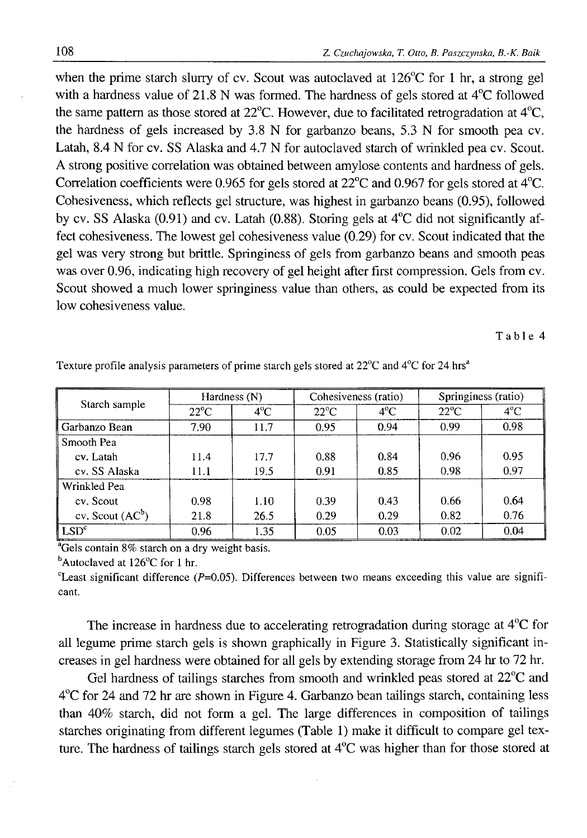when the prime starch slurry of cv. Scout was autoclaved at 126°C for 1 hr, a strong gel with a hardness value of 21.8 N was formed. The hardness of gels stored at 4°C followed the same pattern as those stored at 22°C. However, due to facilitated retrogradation at 4°C, the hardness of gels increased by 3.8 N for garbanzo beans, 5.3 N for smooth pea cv. Latah, 8.4 N for cv. SS Alaska and 4.7 N for autoclaved starch of wrinkled pea cv. Scout. A strong positive correlation was obtained between amylose contents and hardness of gels. Correlation coefficients were 0.965 for gels stored at 22°C and 0.967 for gels stored at 4°C. Cohesiveness, which reflects gel structure, was highest in garbanzo beans (0.95), followed by cv. SS Alaska (0.91) and cv. Latah (0.88). Storing gels at 4°C did not significantly affect cohesiveness. The lowest gel cohesiveness value (0.29) for cv. Scout indicated that the gel was very strong but brittle. Springiness of gels from garbanzo beans and smooth peas was over 0.96, indicating high recovery of gel height after first compression. Gels from cv. Scout showed a much lower springiness value than others, as could be expected from its low cohesiveness value.

Table 4

| Starch sample        | Hardness (N)   |               | Cohesiveness (ratio) |               | Springiness (ratio) |               |
|----------------------|----------------|---------------|----------------------|---------------|---------------------|---------------|
|                      | $22^{\circ}$ C | $4^{\circ}$ C | $22^{\circ}$ C       | $4^{\circ}$ C | $22^{\circ}$ C      | $4^{\circ}$ C |
| Garbanzo Bean        | 7.90           | 11.7          | 0.95                 | 0.94          | 0.99                | 0.98          |
| Smooth Pea           |                |               |                      |               |                     |               |
| cv. Latah            | 11.4           | 17.7          | 0.88                 | 0.84          | 0.96                | 0.95          |
| cv. SS Alaska        | 11.1           | 19.5          | 0.91                 | 0.85          | 0.98                | 0.97          |
| Wrinkled Pea         |                |               |                      |               |                     |               |
| cv. Scout            | 0.98           | 1.10          | 0.39                 | 0.43          | 0.66                | 0.64          |
| cv. Scout $(AC^b)$   | 21.8           | 26.5          | 0.29                 | 0.29          | 0.82                | 0.76          |
| $ $ LSD ${}^{\circ}$ | 0.96           | 1.35          | 0.05                 | 0.03          | 0.02                | 0.04          |

Texture profile analysis parameters of prime starch gels stored at  $22^{\circ}$ C and  $4^{\circ}$ C for 24 hrs<sup>a</sup>

<sup>a</sup>Gels contain 8% starch on a dry weight basis.

 $<sup>b</sup>$ Autoclaved at 126 $<sup>o</sup>$ C for 1 hr.</sup></sup>

<sup>c</sup>Least significant difference ( $P=0.05$ ). Differences between two means exceeding this value are significant.

The increase in hardness due to accelerating retrogradation during storage at 4°C for all legume prime starch gels is shown graphically in Figure 3. Statistically significant increases in gel hardness were obtained for all gels by extending storage from 24 hr to 72 hr.

Gel hardness of tailings starches from smooth and wrinkled peas stored at 22°C and 4°C for 24 and 72 hr are shown in Figure 4. Garbanzo bean tailings starch, containing less than 40% starch, did not form a gel. The large differences in composition of tailings starches originating from different legumes (Table 1) make it difficult to compare gel texture. The hardness of tailings starch gels stored at 4°C was higher than for those stored at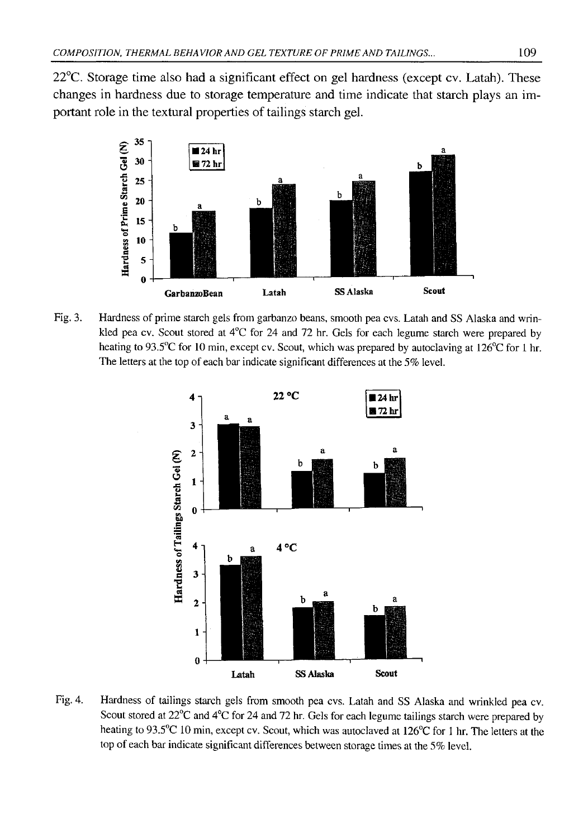22°C. Storage time also had a significant effect on gel hardness (except cv. Latah). These changes in hardness due to storage temperature and time indicate that starch plays an important role in the textural properties of tailings starch gel.



Fig. 3. Hardness of prime starch gels from garbanzo beans, smooth pea cvs. Latah and SS Alaska and wrinkled pea cv. Scout stored at  $4^{\circ}$ C for 24 and 72 hr. Gels for each legume starch were prepared by heating to 93.5°C for 10 min, except cv. Scout, which was prepared by autoclaving at 126°C for 1 hr. The letters at the top of each bar indicate significant differences at the *5%* level.



Fig. 4. Hardness of tailings starch gels from smooth pea cvs. Latah and SS Alaska and wrinkled pea cv. Scout stored at 22°C and 4°C for 24 and 72 hr. Gels for each legume tailings starch were prepared by heating to 93.5°C 10 min, except cv. Scout, which was autoclaved at 126°C for 1 hr. The letters at the top of each bar indicate significant differences between storage times at the 5% level.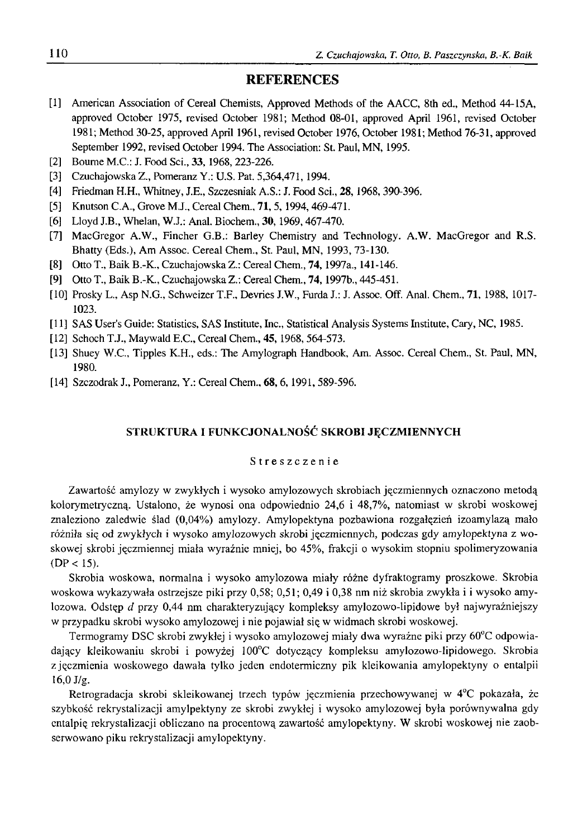#### **REFERENCES**

- [1] American Association of Cereal Chemists, Approved Methods of the AACC, 8th ed., Method 44-15A, approved October 1975, revised October 1981; Method 08-01, approved April 1961, revised October 1981; Method 30-25, approved April 1961, revised October 1976, October 1981; Method 76-31, approved September 1992, revised October 1994. The Association: St. Paul, MN, 1995.
- [2] Bourne M.C.: J. Food Sci., 33, 1968, 223-226.
- [3] Czuchajowska Z., Pomeranz Y.: U.S. Pat. 5,364,471,1994.
- [4] Friedman H.H., Whitney, J.E., Szczesniak A.S.: J. Food Sci., **28**, 1968, 390-396.
- [5] Knutson C.A., Grove M J., Cereal Chem., **71,** 5, 1994,469-471.
- [6] Lloyd J.B., Whelan, W.J.: Anal. Biochem., 30, 1969, 467-470.
- [7] MacGregor A.W., Fincher G.B.: Barley Chemistry and Technology. A.W. MacGregor and R.S. Bhatty (Eds.), Am Assoc. Cereal Chem., St. Paul, MN, 1993, 73-130.
- [8] Otto T., Baik B.-K., Czuchajowska Z.: Cereal Chem., **7 4 ,**1997a., 141-146.
- [9] Otto T., Baik B.-K., Czuchajowska Z.: Cereal Chem., **7 4 ,**1997b., 445-451.
- [10] Prosky L., Asp N.G., Schweizer T.F., Devries J.W., Furda J.: J. Assoc. Off. Anal. Chem., **71,** 1988, 1017- 1023.
- [11] SAS User's Guide: Statistics, SAS Institute, Inc., Statistical Analysis Systems Institute, Cary, NC, 1985.
- [12] Schoch T.J., Maywald E.C., Cereal Chem., **45,** 1968, 564-573.
- [13] Shuey W.C., Tipples K.H., eds.: The Amylograph Handbook, Am. Assoc. Cereal Chem., St. Paul, MN, 1980.
- [14] Szczodrak J., Pomeranz, Y.: Cereal Chem., 68, 6, 1991, 589-596.

#### STRUKTURA I FUNKCJONALNOŚĆ SKROBI JĘCZMIENNYCH

#### Streszczenie

Zawartość amylozy w zwykłych i wysoko amyłozowych skrobiach jęczmiennych oznaczono metodą kolorymetryczną. Ustalono, że wynosi ona odpowiednio 24,6 i 48,7%, natomiast w skrobi woskowej znaleziono zaledwie ślad (0,04%) amylozy. Amylopektyna pozbawiona rozgałęzień izoamylazą mało różniła się od zwykłych i wysoko amylozowych skrobi jęczmiennych, podczas gdy amylopektyna z woskowej skrobi jęczmiennej miała wyraźnie mniej, bo 45%, frakcji o wysokim stopniu spolimeryzowania  $(DP < 15)$ .

Skrobia woskowa, normalna i wysoko amylozowa miały różne dyfraktogramy proszkowe. Skrobia woskowa wykazywała ostrzejsze piki przy 0,58; 0,51; 0,49 i 0,38 nm niż skrobia zwykła i i wysoko amylozowa. Odstęp *d* przy 0,44 nm charakteryzujący kompleksy amylozowo-lipidowe był najwyraźniejszy w przypadku skrobi wysoko amylozowej i nie pojawiał się w widmach skrobi woskowej.

Termogramy DSC skrobi zwykłej i wysoko amylozowej miały dwa wyraźne piki przy 60°C odpowiadający kleikowaniu skrobi i powyżej 100°C dotyczący kompleksu amylozowo-lipidowego. Skrobia z jęczmienia woskowego dawała tylko jeden endotermiczny pik kleikowania amylopektyny o entalpii 16,0 J/g.

Retrogradacja skrobi skleikowanej trzech typów jęczmienia przechowywanej w 4°C pokazała, że szybkość rekrystalizacji amylpektyny ze skrobi zwykłej i wysoko amylozowej była porównywalna gdy entalpię rekrystalizacji obliczano na procentową zawartość amylopektyny. W skrobi woskowej nie zaobserwowano piku rekrystalizacji amylopektyny.